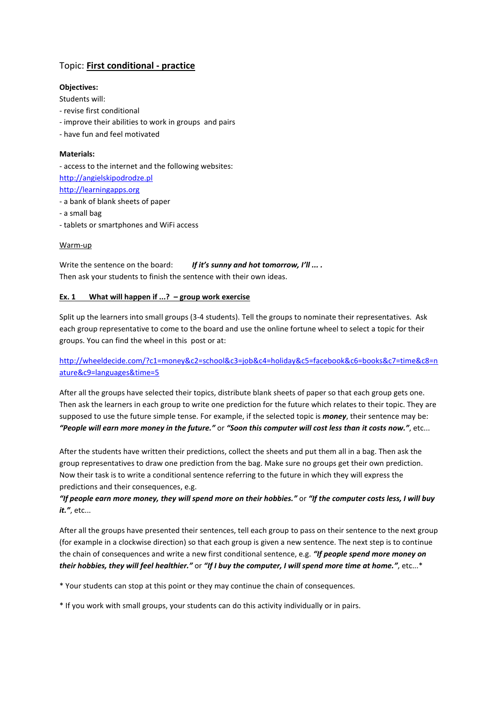# Topic: **First conditional - practice**

#### **Objectives:**

Students will:

- revise first conditional
- improve their abilities to work in groups and pairs
- have fun and feel motivated

#### **Materials:**

- access to the internet and the following websites: [http://angielskipodrodze.pl](http://angielskipodrodze.pl/) [http://learningapps.org](http://learningapps.org/)

- a bank of blank sheets of paper
- a small bag
- tablets or smartphones and WiFi access

#### Warm-up

Write the sentence on the board: *If it's sunny and hot tomorrow, I'll ... .*  Then ask your students to finish the sentence with their own ideas.

#### **Ex. 1 What will happen if ...? – group work exercise**

Split up the learners into small groups (3-4 students). Tell the groups to nominate their representatives. Ask each group representative to come to the board and use the online fortune wheel to select a topic for their groups. You can find the wheel in this post or at:

### [http://wheeldecide.com/?c1=money&c2=school&c3=job&c4=holiday&c5=facebook&c6=books&c7=time&c8=n](http://wheeldecide.com/?c1=money&c2=school&c3=job&c4=holiday&c5=facebook&c6=books&c7=time&c8=nature&c9=languages&time=5) [ature&c9=languages&time=5](http://wheeldecide.com/?c1=money&c2=school&c3=job&c4=holiday&c5=facebook&c6=books&c7=time&c8=nature&c9=languages&time=5)

After all the groups have selected their topics, distribute blank sheets of paper so that each group gets one. Then ask the learners in each group to write one prediction for the future which relates to their topic. They are supposed to use the future simple tense. For example, if the selected topic is *money*, their sentence may be: *"People will earn more money in the future."* or *"Soon this computer will cost less than it costs now."*, etc...

After the students have written their predictions, collect the sheets and put them all in a bag. Then ask the group representatives to draw one prediction from the bag. Make sure no groups get their own prediction. Now their task is to write a conditional sentence referring to the future in which they will express the predictions and their consequences, e.g.

## *"If people earn more money, they will spend more on their hobbies."* or *"If the computer costs less, I will buy it."*, etc...

After all the groups have presented their sentences, tell each group to pass on their sentence to the next group (for example in a clockwise direction) so that each group is given a new sentence. The next step is to continue the chain of consequences and write a new first conditional sentence, e.g. *"If people spend more money on their hobbies, they will feel healthier."* or *"If I buy the computer, I will spend more time at home."*, etc...\*

\* Your students can stop at this point or they may continue the chain of consequences.

\* If you work with small groups, your students can do this activity individually or in pairs.